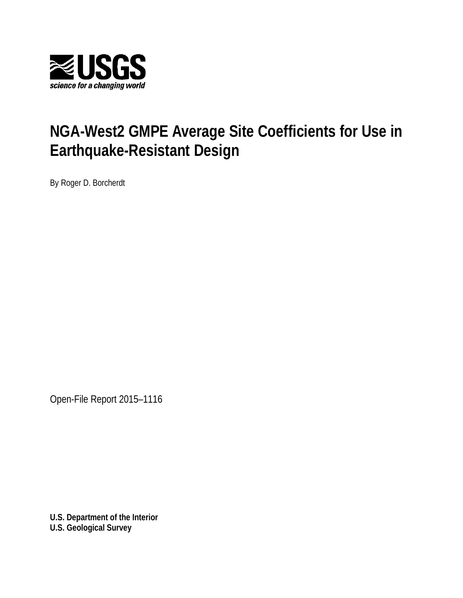

# **NGA-West2 GMPE Average Site Coefficients for Use in Earthquake-Resistant Design**

By Roger D. Borcherdt

Open-File Report 2015–1116

**U.S. Department of the Interior U.S. Geological Survey**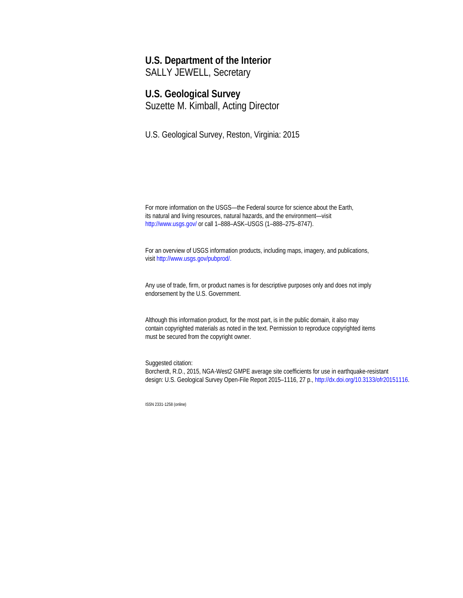#### **U.S. Department of the Interior**

SALLY JEWELL, Secretary

### **U.S. Geological Survey**

Suzette M. Kimball, Acting Director

U.S. Geological Survey, Reston, Virginia: 2015

For more information on the USGS—the Federal source for science about the Earth, its natural and living resources, natural hazards, and the environment—visit <http://www.usgs.gov/> or call 1–888–ASK–USGS (1–888–275–8747).

For an overview of USGS information products, including maps, imagery, and publications, visi[t http://www.usgs.gov/pubprod/](http://www.usgs.gov/pubprod).

Any use of trade, firm, or product names is for descriptive purposes only and does not imply endorsement by the U.S. Government.

Although this information product, for the most part, is in the public domain, it also may contain copyrighted materials as noted in the text. Permission to reproduce copyrighted items must be secured from the copyright owner.

Suggested citation: Borcherdt, R.D., 2015, NGA-West2 GMPE average site coefficients for use in earthquake-resistant design: U.S. Geological Survey Open-File Report 2015–1116, 27 p.[, http://dx.doi.org/10.3133/ofr20151116.](http://dx.doi.org/10.3133/ofr20151116)

ISSN 2331-1258 (online)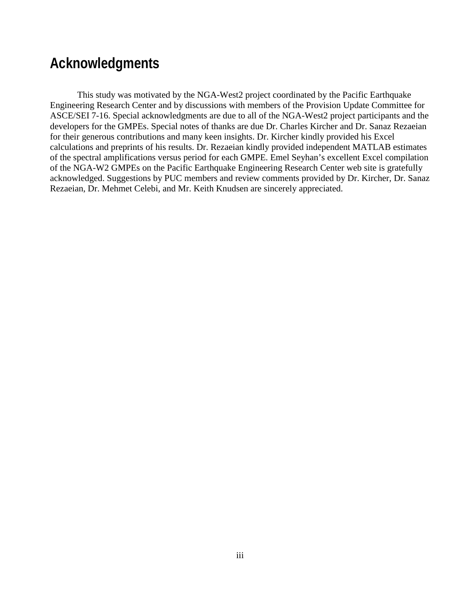## **Acknowledgments**

This study was motivated by the NGA-West2 project coordinated by the Pacific Earthquake Engineering Research Center and by discussions with members of the Provision Update Committee for ASCE/SEI 7-16. Special acknowledgments are due to all of the NGA-West2 project participants and the developers for the GMPEs. Special notes of thanks are due Dr. Charles Kircher and Dr. Sanaz Rezaeian for their generous contributions and many keen insights. Dr. Kircher kindly provided his Excel calculations and preprints of his results. Dr. Rezaeian kindly provided independent MATLAB estimates of the spectral amplifications versus period for each GMPE. Emel Seyhan's excellent Excel compilation of the NGA-W2 GMPEs on the Pacific Earthquake Engineering Research Center web site is gratefully acknowledged. Suggestions by PUC members and review comments provided by Dr. Kircher, Dr. Sanaz Rezaeian, Dr. Mehmet Celebi, and Mr. Keith Knudsen are sincerely appreciated.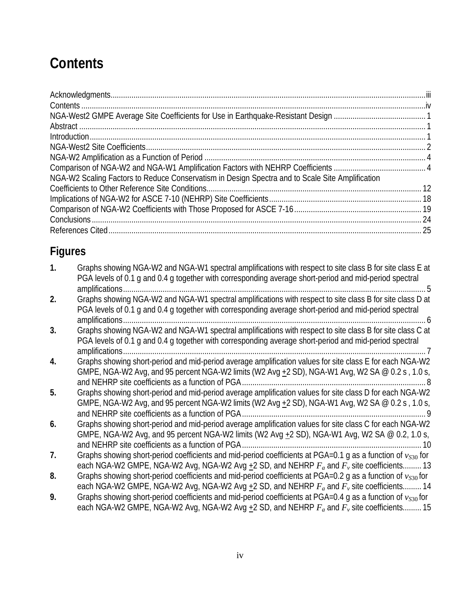# **Contents**

| NGA-W2 Scaling Factors to Reduce Conservatism in Design Spectra and to Scale Site Amplification |  |
|-------------------------------------------------------------------------------------------------|--|
|                                                                                                 |  |
|                                                                                                 |  |
|                                                                                                 |  |
|                                                                                                 |  |
|                                                                                                 |  |

## **Figures**

| $\mathbf{1}$ . | Graphs showing NGA-W2 and NGA-W1 spectral amplifications with respect to site class B for site class E at<br>PGA levels of 0.1 g and 0.4 g together with corresponding average short-period and mid-period spectral |
|----------------|---------------------------------------------------------------------------------------------------------------------------------------------------------------------------------------------------------------------|
|                | amplifications                                                                                                                                                                                                      |
| 2.             | Graphs showing NGA-W2 and NGA-W1 spectral amplifications with respect to site class B for site class D at                                                                                                           |
|                | PGA levels of 0.1 g and 0.4 g together with corresponding average short-period and mid-period spectral                                                                                                              |
|                | amplifications                                                                                                                                                                                                      |
| 3.             | Graphs showing NGA-W2 and NGA-W1 spectral amplifications with respect to site class B for site class C at                                                                                                           |
|                | PGA levels of 0.1 g and 0.4 g together with corresponding average short-period and mid-period spectral                                                                                                              |
|                | amplifications                                                                                                                                                                                                      |
| 4.             | Graphs showing short-period and mid-period average amplification values for site class E for each NGA-W2                                                                                                            |
|                | GMPE, NGA-W2 Avg, and 95 percent NGA-W2 limits (W2 Avg $+2$ SD), NGA-W1 Avg, W2 SA @ 0.2 s, 1.0 s,                                                                                                                  |
|                |                                                                                                                                                                                                                     |
| 5.             | Graphs showing short-period and mid-period average amplification values for site class D for each NGA-W2                                                                                                            |
|                | GMPE, NGA-W2 Avg, and 95 percent NGA-W2 limits (W2 Avg $\pm$ 2 SD), NGA-W1 Avg, W2 SA @ 0.2 s, 1.0 s,                                                                                                               |
|                |                                                                                                                                                                                                                     |
| 6.             | Graphs showing short-period and mid-period average amplification values for site class C for each NGA-W2                                                                                                            |
|                | GMPE, NGA-W2 Avg, and 95 percent NGA-W2 limits (W2 Avg $\pm$ 2 SD), NGA-W1 Avg, W2 SA @ 0.2, 1.0 s,                                                                                                                 |
|                | and NEHRP site coefficients as a function of PGA<br>10                                                                                                                                                              |
| 7.             | Graphs showing short-period coefficients and mid-period coefficients at PGA=0.1 g as a function of $v_{s30}$ for                                                                                                    |
|                | each NGA-W2 GMPE, NGA-W2 Avg, NGA-W2 Avg +2 SD, and NEHRP $F_a$ and $F_v$ site coefficients 13                                                                                                                      |
| 8.             | Graphs showing short-period coefficients and mid-period coefficients at PGA=0.2 q as a function of $v_{s30}$ for                                                                                                    |
|                | each NGA-W2 GMPE, NGA-W2 Avg, NGA-W2 Avg +2 SD, and NEHRP $F_a$ and $F_v$ site coefficients 14                                                                                                                      |
| 9.             | Graphs showing short-period coefficients and mid-period coefficients at PGA=0.4 g as a function of $v_{s30}$ for                                                                                                    |
|                | each NGA-W2 GMPE, NGA-W2 Avg, NGA-W2 Avg $+2$ SD, and NEHRP $F_a$ and $F_v$ site coefficients 15                                                                                                                    |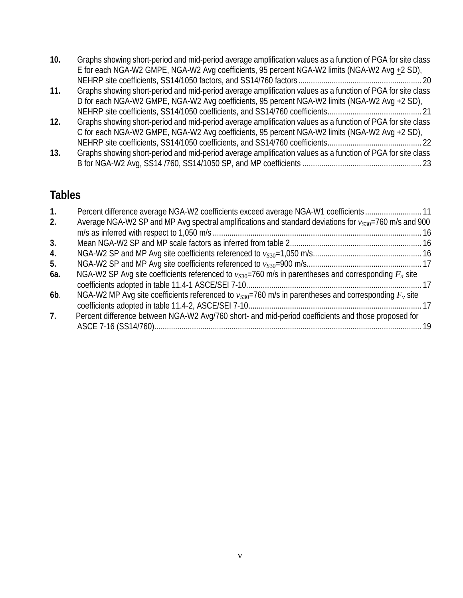| 10. | Graphs showing short-period and mid-period average amplification values as a function of PGA for site class |  |
|-----|-------------------------------------------------------------------------------------------------------------|--|
|     | E for each NGA-W2 GMPE, NGA-W2 Avg coefficients, 95 percent NGA-W2 limits (NGA-W2 Avg $\pm 2$ SD),          |  |
|     |                                                                                                             |  |

- **11.** Graphs showing short-period and mid-period average amplification values as a function of PGA for site class D for each NGA-W2 GMPE, NGA-W2 Avg coefficients, 95 percent NGA-W2 limits (NGA-W2 Avg +2 SD), NEHRP site coefficients, SS14/1050 coefficients, and SS14/760 coefficients............................................. 21
- **12.** Graphs showing short-period and mid-period average amplification values as a function of PGA for site class C for each NGA-W2 GMPE, NGA-W2 Avg coefficients, 95 percent NGA-W2 limits (NGA-W2 Avg +2 SD), NEHRP site coefficients, SS14/1050 coefficients, and SS14/760 coefficients............................................. 22
- **13.** Graphs showing short-period and mid-period average amplification values as a function of PGA for site class B for NGA-W2 Avg, SS14 /760, SS14/1050 SP, and MP coefficients ......................................................... 23

## **Tables**

| 1.  | Percent difference average NGA-W2 coefficients exceed average NGA-W1 coefficients11                          |     |
|-----|--------------------------------------------------------------------------------------------------------------|-----|
| 2.  | Average NGA-W2 SP and MP Avg spectral amplifications and standard deviations for $v_{S30}$ =760 m/s and 900  |     |
|     |                                                                                                              |     |
| 3.  |                                                                                                              |     |
| 4.  |                                                                                                              |     |
| 5.  |                                                                                                              |     |
| 6a. | NGA-W2 SP Avg site coefficients referenced to $v_{S30}$ =760 m/s in parentheses and corresponding $F_a$ site |     |
| 6b. | NGA-W2 MP Avg site coefficients referenced to $v_{S30}$ =760 m/s in parentheses and corresponding $F_v$ site |     |
| 7.  | Percent difference between NGA-W2 Avg/760 short- and mid-period coefficients and those proposed for          | -19 |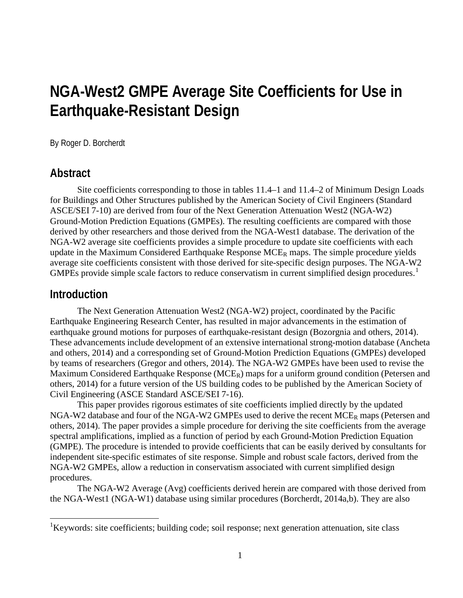## **NGA-West2 GMPE Average Site Coefficients for Use in Earthquake-Resistant Design**

By Roger D. Borcherdt

#### **Abstract**

Site coefficients corresponding to those in tables 11.4–1 and 11.4–2 of Minimum Design Loads for Buildings and Other Structures published by the American Society of Civil Engineers (Standard ASCE/SEI 7-10) are derived from four of the Next Generation Attenuation West2 (NGA-W2) Ground-Motion Prediction Equations (GMPEs). The resulting coefficients are compared with those derived by other researchers and those derived from the NGA-West1 database. The derivation of the NGA-W2 average site coefficients provides a simple procedure to update site coefficients with each update in the Maximum Considered Earthquake Response  $MCE_R$  maps. The simple procedure yields average site coefficients consistent with those derived for site-specific design purposes. The NGA-W2 GMPEs provide simple scale factors to reduce conservatism in current simplified design procedures.<sup>[1](#page-5-0)</sup>

#### **Introduction**

The Next Generation Attenuation West2 (NGA-W2) project, coordinated by the Pacific Earthquake Engineering Research Center, has resulted in major advancements in the estimation of earthquake ground motions for purposes of earthquake-resistant design (Bozorgnia and others, 2014). These advancements include development of an extensive international strong-motion database (Ancheta and others, 2014) and a corresponding set of Ground-Motion Prediction Equations (GMPEs) developed by teams of researchers (Gregor and others, 2014). The NGA-W2 GMPEs have been used to revise the Maximum Considered Earthquake Response (MCE<sub>R</sub>) maps for a uniform ground condition (Petersen and others, 2014) for a future version of the US building codes to be published by the American Society of Civil Engineering (ASCE Standard ASCE/SEI 7-16).

This paper provides rigorous estimates of site coefficients implied directly by the updated NGA-W2 database and four of the NGA-W2 GMPEs used to derive the recent  $MCE_R$  maps (Petersen and others, 2014). The paper provides a simple procedure for deriving the site coefficients from the average spectral amplifications, implied as a function of period by each Ground-Motion Prediction Equation (GMPE). The procedure is intended to provide coefficients that can be easily derived by consultants for independent site-specific estimates of site response. Simple and robust scale factors, derived from the NGA-W2 GMPEs, allow a reduction in conservatism associated with current simplified design procedures.

The NGA-W2 Average (Avg) coefficients derived herein are compared with those derived from the NGA-West1 (NGA-W1) database using similar procedures (Borcherdt, 2014a,b). They are also

<span id="page-5-0"></span> <sup>1</sup> Keywords: site coefficients; building code; soil response; next generation attenuation, site class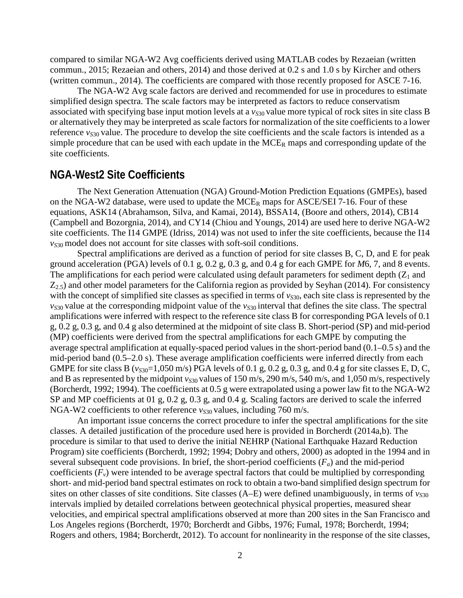compared to similar NGA-W2 Avg coefficients derived using MATLAB codes by Rezaeian (written commun., 2015; Rezaeian and others, 2014) and those derived at 0.2 s and 1.0 s by Kircher and others (written commun., 2014). The coefficients are compared with those recently proposed for ASCE 7-16.

The NGA-W2 Avg scale factors are derived and recommended for use in procedures to estimate simplified design spectra. The scale factors may be interpreted as factors to reduce conservatism associated with specifying base input motion levels at a  $v_{S30}$  value more typical of rock sites in site class B or alternatively they may be interpreted as scale factors for normalization of the site coefficients to a lower reference  $v_{S30}$  value. The procedure to develop the site coefficients and the scale factors is intended as a simple procedure that can be used with each update in the  $MCE_R$  maps and corresponding update of the site coefficients.

#### **NGA-West2 Site Coefficients**

The Next Generation Attenuation (NGA) Ground-Motion Prediction Equations (GMPEs), based on the NGA-W2 database, were used to update the  $MCE_R$  maps for ASCE/SEI 7-16. Four of these equations, ASK14 (Abrahamson, Silva, and Kamai, 2014), BSSA14, (Boore and others, 2014), CB14 (Campbell and Bozorgnia, 2014), and CY14 (Chiou and Youngs, 2014) are used here to derive NGA-W2 site coefficients. The I14 GMPE (Idriss, 2014) was not used to infer the site coefficients, because the I14  $v<sub>S30</sub>$  model does not account for site classes with soft-soil conditions.

Spectral amplifications are derived as a function of period for site classes B, C, D, and E for peak ground acceleration (PGA) levels of 0.1 g, 0.2 g, 0.3 g, and 0.4 g for each GMPE for *M*6, 7, and 8 events. The amplifications for each period were calculated using default parameters for sediment depth  $(Z_1)$  and  $Z_{2,5}$ ) and other model parameters for the California region as provided by Seyhan (2014). For consistency with the concept of simplified site classes as specified in terms of  $v_{S30}$ , each site class is represented by the  $v_{S30}$  value at the corresponding midpoint value of the  $v_{S30}$  interval that defines the site class. The spectral amplifications were inferred with respect to the reference site class B for corresponding PGA levels of 0.1 g, 0.2 g, 0.3 g, and 0.4 g also determined at the midpoint of site class B. Short-period (SP) and mid-period (MP) coefficients were derived from the spectral amplifications for each GMPE by computing the average spectral amplification at equally-spaced period values in the short-period band (0.1–0.5 s) and the mid-period band (0.5–2.0 s). These average amplification coefficients were inferred directly from each GMPE for site class B ( $v_{S30}$ =1,050 m/s) PGA levels of 0.1 g, 0.2 g, 0.3 g, and 0.4 g for site classes E, D, C, and B as represented by the midpoint  $v_{S30}$  values of 150 m/s, 290 m/s, 540 m/s, and 1,050 m/s, respectively (Borcherdt, 1992; 1994). The coefficients at 0.5 g were extrapolated using a power law fit to the NGA-W2 SP and MP coefficients at 01 g, 0.2 g, 0.3 g, and 0.4 g. Scaling factors are derived to scale the inferred NGA-W2 coefficients to other reference *v<sub>S30</sub>* values, including 760 m/s.

An important issue concerns the correct procedure to infer the spectral amplifications for the site classes. A detailed justification of the procedure used here is provided in Borcherdt (2014a,b). The procedure is similar to that used to derive the initial NEHRP (National Earthquake Hazard Reduction Program) site coefficients (Borcherdt, 1992; 1994; Dobry and others, 2000) as adopted in the 1994 and in several subsequent code provisions. In brief, the short-period coefficients  $(F_a)$  and the mid-period coefficients  $(F_v)$  were intended to be average spectral factors that could be multiplied by corresponding short- and mid-period band spectral estimates on rock to obtain a two-band simplified design spectrum for sites on other classes of site conditions. Site classes  $(A-E)$  were defined unambiguously, in terms of  $v_{S30}$ intervals implied by detailed correlations between geotechnical physical properties, measured shear velocities, and empirical spectral amplifications observed at more than 200 sites in the San Francisco and Los Angeles regions (Borcherdt, 1970; Borcherdt and Gibbs, 1976; Fumal, 1978; Borcherdt, 1994; Rogers and others, 1984; Borcherdt, 2012). To account for nonlinearity in the response of the site classes,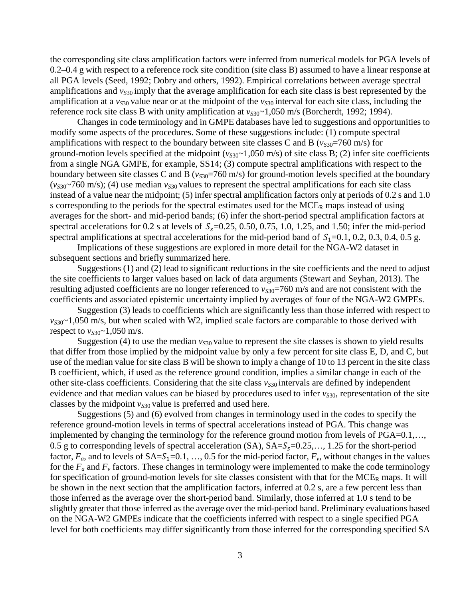the corresponding site class amplification factors were inferred from numerical models for PGA levels of 0.2–0.4 g with respect to a reference rock site condition (site class B) assumed to have a linear response at all PGA levels (Seed, 1992; Dobry and others, 1992). Empirical correlations between average spectral amplifications and  $v_{S30}$  imply that the average amplification for each site class is best represented by the amplification at a  $v_{S30}$  value near or at the midpoint of the  $v_{S30}$  interval for each site class, including the reference rock site class B with unity amplification at  $v_{S30}$ ~1,050 m/s (Borcherdt, 1992; 1994).

Changes in code terminology and in GMPE databases have led to suggestions and opportunities to modify some aspects of the procedures. Some of these suggestions include: (1) compute spectral amplifications with respect to the boundary between site classes C and B ( $v_{S30}$ =760 m/s) for ground-motion levels specified at the midpoint  $(v_{S30} \sim 1,050 \text{ m/s})$  of site class B; (2) infer site coefficients from a single NGA GMPE, for example, SS14; (3) compute spectral amplifications with respect to the boundary between site classes C and B ( $v_{S30}$ =760 m/s) for ground-motion levels specified at the boundary  $(v_{s30}$ ~760 m/s); (4) use median  $v_{s30}$  values to represent the spectral amplifications for each site class instead of a value near the midpoint; (5) infer spectral amplification factors only at periods of 0.2 s and 1.0 s corresponding to the periods for the spectral estimates used for the MCE<sub>R</sub> maps instead of using averages for the short- and mid-period bands; (6) infer the short-period spectral amplification factors at spectral accelerations for 0.2 s at levels of  $S_s$ =0.25, 0.50, 0.75, 1.0, 1.25, and 1.50; infer the mid-period spectral amplifications at spectral accelerations for the mid-period band of  $S_1=0.1$ , 0.2, 0.3, 0.4, 0.5 g.

Implications of these suggestions are explored in more detail for the NGA-W2 dataset in subsequent sections and briefly summarized here.

Suggestions (1) and (2) lead to significant reductions in the site coefficients and the need to adjust the site coefficients to larger values based on lack of data arguments (Stewart and Seyhan, 2013). The resulting adjusted coefficients are no longer referenced to  $v_{S30}$ =760 m/s and are not consistent with the coefficients and associated epistemic uncertainty implied by averages of four of the NGA-W2 GMPEs.

Suggestion (3) leads to coefficients which are significantly less than those inferred with respect to  $v_{S30}$ ~1,050 m/s, but when scaled with W2, implied scale factors are comparable to those derived with respect to  $v_{S30}$ ~1,050 m/s.

Suggestion (4) to use the median  $v_{530}$  value to represent the site classes is shown to yield results that differ from those implied by the midpoint value by only a few percent for site class E, D, and C, but use of the median value for site class B will be shown to imply a change of 10 to 13 percent in the site class B coefficient, which, if used as the reference ground condition, implies a similar change in each of the other site-class coefficients. Considering that the site class  $v_{S30}$  intervals are defined by independent evidence and that median values can be biased by procedures used to infer  $v_{S30}$ , representation of the site classes by the midpoint  $v_{S30}$  value is preferred and used here.

Suggestions (5) and (6) evolved from changes in terminology used in the codes to specify the reference ground-motion levels in terms of spectral accelerations instead of PGA. This change was implemented by changing the terminology for the reference ground motion from levels of PGA=0.1,…, 0.5 g to corresponding levels of spectral acceleration  $(SA)$ ,  $SA=S_s=0.25,..., 1.25$  for the short-period factor,  $F_a$ , and to levels of  $SA = S_1 = 0.1, ..., 0.5$  for the mid-period factor,  $F_v$ , without changes in the values for the  $F_a$  and  $F_v$  factors. These changes in terminology were implemented to make the code terminology for specification of ground-motion levels for site classes consistent with that for the  $MCE_R$  maps. It will be shown in the next section that the amplification factors, inferred at 0.2 s, are a few percent less than those inferred as the average over the short-period band. Similarly, those inferred at 1.0 s tend to be slightly greater that those inferred as the average over the mid-period band. Preliminary evaluations based on the NGA-W2 GMPEs indicate that the coefficients inferred with respect to a single specified PGA level for both coefficients may differ significantly from those inferred for the corresponding specified SA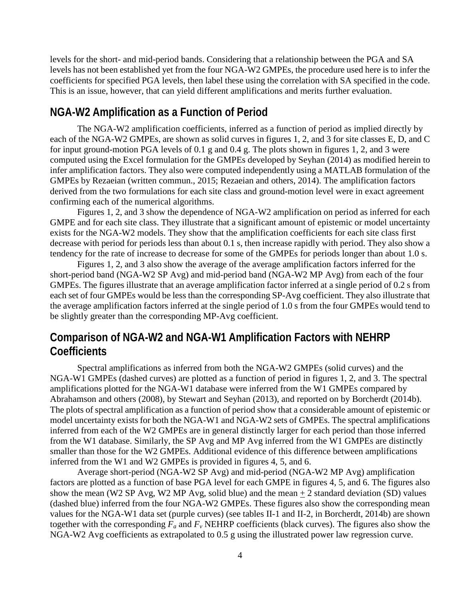levels for the short- and mid-period bands. Considering that a relationship between the PGA and SA levels has not been established yet from the four NGA-W2 GMPEs, the procedure used here is to infer the coefficients for specified PGA levels, then label these using the correlation with SA specified in the code. This is an issue, however, that can yield different amplifications and merits further evaluation.

#### **NGA-W2 Amplification as a Function of Period**

The NGA-W2 amplification coefficients, inferred as a function of period as implied directly by each of the NGA-W2 GMPEs, are shown as solid curves in figures 1, 2, and 3 for site classes E, D, and C for input ground-motion PGA levels of 0.1 g and 0.4 g. The plots shown in figures 1, 2, and 3 were computed using the Excel formulation for the GMPEs developed by Seyhan (2014) as modified herein to infer amplification factors. They also were computed independently using a MATLAB formulation of the GMPEs by Rezaeian (written commun., 2015; Rezaeian and others, 2014). The amplification factors derived from the two formulations for each site class and ground-motion level were in exact agreement confirming each of the numerical algorithms.

Figures 1, 2, and 3 show the dependence of NGA-W2 amplification on period as inferred for each GMPE and for each site class. They illustrate that a significant amount of epistemic or model uncertainty exists for the NGA-W2 models. They show that the amplification coefficients for each site class first decrease with period for periods less than about 0.1 s, then increase rapidly with period. They also show a tendency for the rate of increase to decrease for some of the GMPEs for periods longer than about 1.0 s.

Figures 1, 2, and 3 also show the average of the average amplification factors inferred for the short-period band (NGA-W2 SP Avg) and mid-period band (NGA-W2 MP Avg) from each of the four GMPEs. The figures illustrate that an average amplification factor inferred at a single period of 0.2 s from each set of four GMPEs would be less than the corresponding SP-Avg coefficient. They also illustrate that the average amplification factors inferred at the single period of 1.0 s from the four GMPEs would tend to be slightly greater than the corresponding MP-Avg coefficient.

## **Comparison of NGA-W2 and NGA-W1 Amplification Factors with NEHRP Coefficients**

Spectral amplifications as inferred from both the NGA-W2 GMPEs (solid curves) and the NGA-W1 GMPEs (dashed curves) are plotted as a function of period in figures 1, 2, and 3. The spectral amplifications plotted for the NGA-W1 database were inferred from the W1 GMPEs compared by Abrahamson and others (2008), by Stewart and Seyhan (2013), and reported on by Borcherdt (2014b). The plots of spectral amplification as a function of period show that a considerable amount of epistemic or model uncertainty exists for both the NGA-W1 and NGA-W2 sets of GMPEs. The spectral amplifications inferred from each of the W2 GMPEs are in general distinctly larger for each period than those inferred from the W1 database. Similarly, the SP Avg and MP Avg inferred from the W1 GMPEs are distinctly smaller than those for the W2 GMPEs. Additional evidence of this difference between amplifications inferred from the W1 and W2 GMPEs is provided in figures 4, 5, and 6.

Average short-period (NGA-W2 SP Avg) and mid-period (NGA-W2 MP Avg) amplification factors are plotted as a function of base PGA level for each GMPE in figures 4, 5, and 6. The figures also show the mean (W2 SP Avg, W2 MP Avg, solid blue) and the mean  $\pm$  2 standard deviation (SD) values (dashed blue) inferred from the four NGA-W2 GMPEs. These figures also show the corresponding mean values for the NGA-W1 data set (purple curves) (see tables II-1 and II-2, in Borcherdt, 2014b) are shown together with the corresponding  $F_a$  and  $F_v$  NEHRP coefficients (black curves). The figures also show the NGA-W2 Avg coefficients as extrapolated to 0.5 g using the illustrated power law regression curve.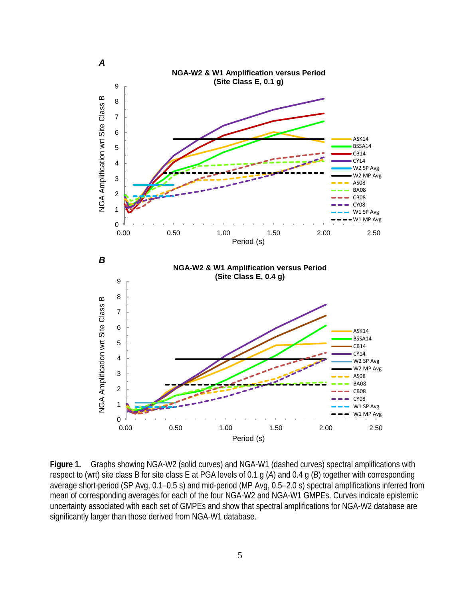

**Figure 1.** Graphs showing NGA-W2 (solid curves) and NGA-W1 (dashed curves) spectral amplifications with respect to (wrt) site class B for site class E at PGA levels of 0.1 g (*A*) and 0.4 g (*B*) together with corresponding average short-period (SP Avg, 0.1–0.5 s) and mid-period (MP Avg, 0.5–2.0 s) spectral amplifications inferred from mean of corresponding averages for each of the four NGA-W2 and NGA-W1 GMPEs. Curves indicate epistemic uncertainty associated with each set of GMPEs and show that spectral amplifications for NGA-W2 database are significantly larger than those derived from NGA-W1 database.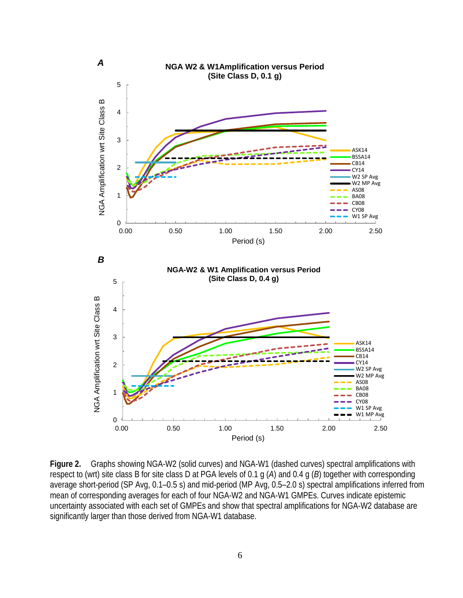

**Figure 2.** Graphs showing NGA-W2 (solid curves) and NGA-W1 (dashed curves) spectral amplifications with respect to (wrt) site class B for site class D at PGA levels of 0.1 g (*A*) and 0.4 g (*B*) together with corresponding average short-period (SP Avg, 0.1–0.5 s) and mid-period (MP Avg, 0.5–2.0 s) spectral amplifications inferred from mean of corresponding averages for each of four NGA-W2 and NGA-W1 GMPEs. Curves indicate epistemic uncertainty associated with each set of GMPEs and show that spectral amplifications for NGA-W2 database are significantly larger than those derived from NGA-W1 database.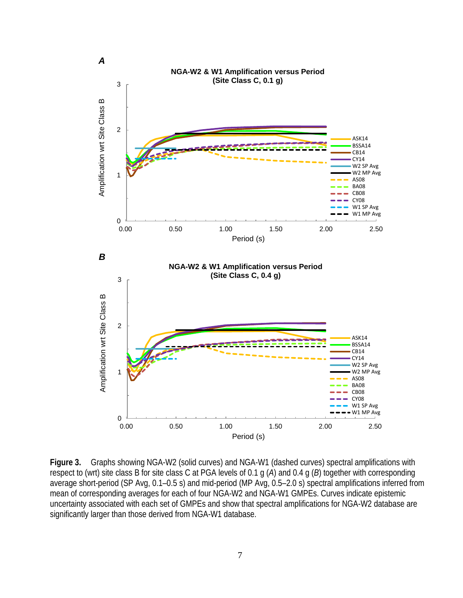

**Figure 3.** Graphs showing NGA-W2 (solid curves) and NGA-W1 (dashed curves) spectral amplifications with respect to (wrt) site class B for site class C at PGA levels of 0.1 g (*A*) and 0.4 g (*B*) together with corresponding average short-period (SP Avg, 0.1–0.5 s) and mid-period (MP Avg, 0.5–2.0 s) spectral amplifications inferred from mean of corresponding averages for each of four NGA-W2 and NGA-W1 GMPEs. Curves indicate epistemic uncertainty associated with each set of GMPEs and show that spectral amplifications for NGA-W2 database are significantly larger than those derived from NGA-W1 database.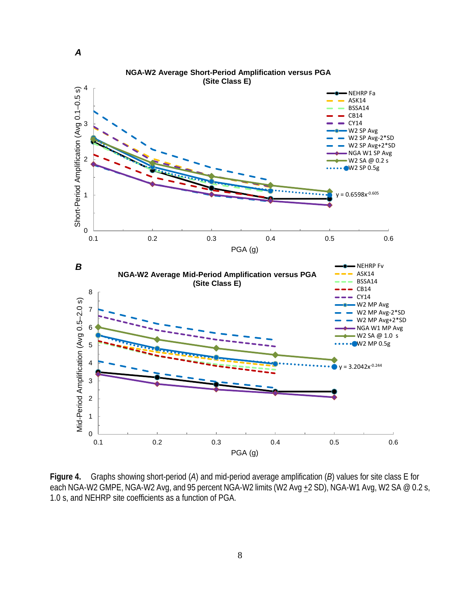

**Figure 4.** Graphs showing short-period (*A*) and mid-period average amplification (*B*) values for site class E for each NGA-W2 GMPE, NGA-W2 Avg, and 95 percent NGA-W2 limits (W2 Avg  $+2$  SD), NGA-W1 Avg, W2 SA @ 0.2 s, 1.0 s, and NEHRP site coefficients as a function of PGA.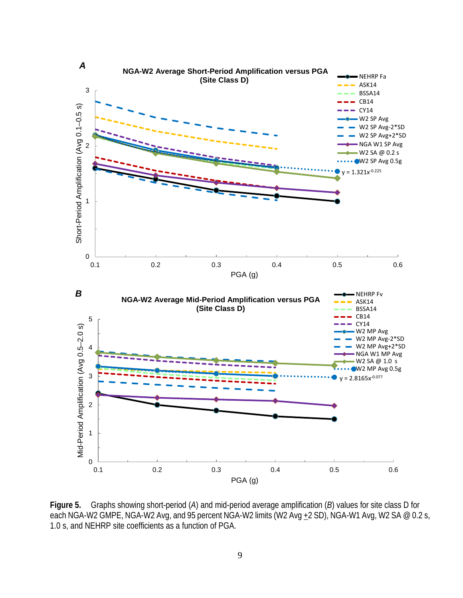

**Figure 5.** Graphs showing short-period (*A*) and mid-period average amplification (*B*) values for site class D for each NGA-W2 GMPE, NGA-W2 Avg, and 95 percent NGA-W2 limits (W2 Avg +2 SD), NGA-W1 Avg, W2 SA @ 0.2 s, 1.0 s, and NEHRP site coefficients as a function of PGA.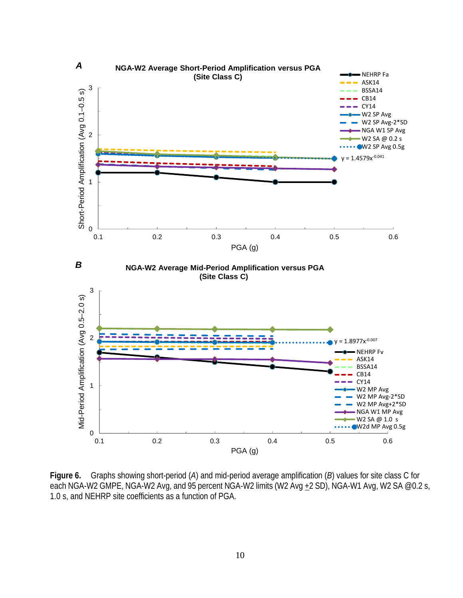

**Figure 6.** Graphs showing short-period (*A*) and mid-period average amplification (*B*) values for site class C for each NGA-W2 GMPE, NGA-W2 Avg, and 95 percent NGA-W2 limits (W2 Avg + 2 SD), NGA-W1 Avg, W2 SA @ 0.2 s, 1.0 s, and NEHRP site coefficients as a function of PGA.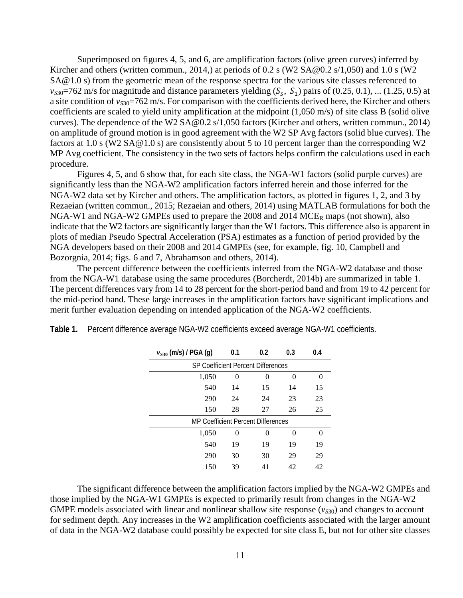Superimposed on figures 4, 5, and 6, are amplification factors (olive green curves) inferred by Kircher and others (written commun., 2014,) at periods of 0.2 s (W2 [SA@0.2](mailto:SA@0.2) s/1,050) and 1.0 s (W2 [SA@1.0 s\)](mailto:SA@1.0s) from the geometric mean of the response spectra for the various site classes referenced to  $v_{S30}$ =762 m/s for magnitude and distance parameters yielding  $(S_s, S_1)$  pairs of  $(0.25, 0.1)$ , ... (1.25, 0.5) at a site condition of *v<sub>S30</sub>*=762 m/s. For comparison with the coefficients derived here, the Kircher and others coefficients are scaled to yield unity amplification at the midpoint (1,050 m/s) of site class B (solid olive curves). The dependence of the W2 [SA@0.2](mailto:SA@0.2) s/1,050 factors (Kircher and others, written commun., 2014) on amplitude of ground motion is in good agreement with the W2 SP Avg factors (solid blue curves). The factors at 1.0 s (W2 [SA@1.0 s\)](mailto:SA@1.0s) are consistently about 5 to 10 percent larger than the corresponding W2 MP Avg coefficient. The consistency in the two sets of factors helps confirm the calculations used in each procedure.

Figures 4, 5, and 6 show that, for each site class, the NGA-W1 factors (solid purple curves) are significantly less than the NGA-W2 amplification factors inferred herein and those inferred for the NGA-W2 data set by Kircher and others. The amplification factors, as plotted in figures 1, 2, and 3 by Rezaeian (written commun., 2015; Rezaeian and others, 2014) using MATLAB formulations for both the NGA-W1 and NGA-W2 GMPEs used to prepare the 2008 and 2014  $MCE_R$  maps (not shown), also indicate that the W2 factors are significantly larger than the W1 factors. This difference also is apparent in plots of median Pseudo Spectral Acceleration (PSA) estimates as a function of period provided by the NGA developers based on their 2008 and 2014 GMPEs (see, for example, fig. 10, Campbell and Bozorgnia, 2014; figs. 6 and 7, Abrahamson and others, 2014).

The percent difference between the coefficients inferred from the NGA-W2 database and those from the NGA-W1 database using the same procedures (Borcherdt, 2014b) are summarized in table 1. The percent differences vary from 14 to 28 percent for the short-period band and from 19 to 42 percent for the mid-period band. These large increases in the amplification factors have significant implications and merit further evaluation depending on intended application of the NGA-W2 coefficients.

| $v_{S30}$ (m/s) / PGA (g)                 | 0.1                                | 0.2 | 0.3 | 0.4 |  |  |  |
|-------------------------------------------|------------------------------------|-----|-----|-----|--|--|--|
| <b>SP Coefficient Percent Differences</b> |                                    |     |     |     |  |  |  |
| 1,050                                     | 0                                  | 0   | 0   | 0   |  |  |  |
| 540                                       | 14                                 | 15  | 14  | 15  |  |  |  |
| 290                                       | 24                                 | 24  | 23  | 23  |  |  |  |
| 150                                       | 28                                 | 27  | 26  | 25  |  |  |  |
|                                           | MP Coefficient Percent Differences |     |     |     |  |  |  |
| 1,050                                     | 0                                  | 0   | 0   | 0   |  |  |  |
| 540                                       | 19                                 | 19  | 19  | 19  |  |  |  |
| 290                                       | 30                                 | 30  | 29  | 29  |  |  |  |
| 150                                       | 39                                 | 41  | 42  | 42  |  |  |  |

**Table 1.** Percent difference average NGA-W2 coefficients exceed average NGA-W1 coefficients.

The significant difference between the amplification factors implied by the NGA-W2 GMPEs and those implied by the NGA-W1 GMPEs is expected to primarily result from changes in the NGA-W2 GMPE models associated with linear and nonlinear shallow site response  $(v_{S30})$  and changes to account for sediment depth. Any increases in the W2 amplification coefficients associated with the larger amount of data in the NGA-W2 database could possibly be expected for site class E, but not for other site classes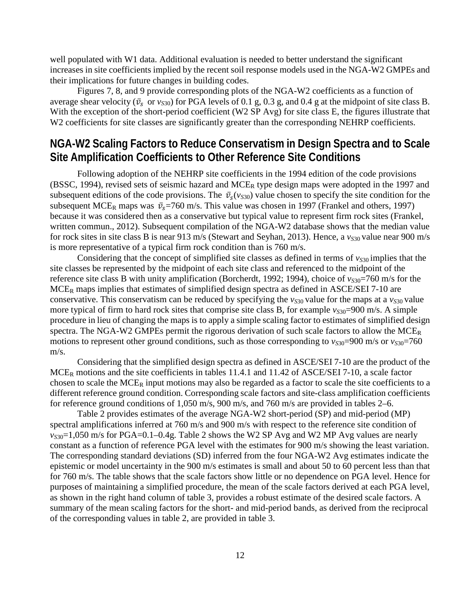well populated with W1 data. Additional evaluation is needed to better understand the significant increases in site coefficients implied by the recent soil response models used in the NGA-W2 GMPEs and their implications for future changes in building codes.

Figures 7, 8, and 9 provide corresponding plots of the NGA-W2 coefficients as a function of average shear velocity ( $\bar{v}_s$  or  $v_{s30}$ ) for PGA levels of 0.1 g, 0.3 g, and 0.4 g at the midpoint of site class B. With the exception of the short-period coefficient (W2 SP Avg) for site class E, the figures illustrate that W2 coefficients for site classes are significantly greater than the corresponding NEHRP coefficients.

### **NGA-W2 Scaling Factors to Reduce Conservatism in Design Spectra and to Scale Site Amplification Coefficients to Other Reference Site Conditions**

Following adoption of the NEHRP site coefficients in the 1994 edition of the code provisions (BSSC, 1994), revised sets of seismic hazard and MCER type design maps were adopted in the 1997 and subsequent editions of the code provisions. The  $\bar{v}_s(v_{s30})$  value chosen to specify the site condition for the subsequent MCE<sub>R</sub> maps was  $\bar{v}_s$ =760 m/s. This value was chosen in 1997 (Frankel and others, 1997) because it was considered then as a conservative but typical value to represent firm rock sites (Frankel, written commun., 2012). Subsequent compilation of the NGA-W2 database shows that the median value for rock sites in site class B is near 913 m/s (Stewart and Seyhan, 2013). Hence, a  $v_{S30}$  value near 900 m/s is more representative of a typical firm rock condition than is 760 m/s.

Considering that the concept of simplified site classes as defined in terms of  $v_{S30}$  implies that the site classes be represented by the midpoint of each site class and referenced to the midpoint of the reference site class B with unity amplification (Borcherdt, 1992; 1994), choice of  $v_{S30}$ =760 m/s for the  $MCE<sub>R</sub>$  maps implies that estimates of simplified design spectra as defined in ASCE/SEI 7-10 are conservative. This conservatism can be reduced by specifying the  $v_{S30}$  value for the maps at a  $v_{S30}$  value more typical of firm to hard rock sites that comprise site class B, for example  $v_{S30}$ =900 m/s. A simple procedure in lieu of changing the maps is to apply a simple scaling factor to estimates of simplified design spectra. The NGA-W2 GMPEs permit the rigorous derivation of such scale factors to allow the MCE<sub>R</sub> motions to represent other ground conditions, such as those corresponding to  $v_{S30}$ =900 m/s or  $v_{S30}$ =760 m/s.

Considering that the simplified design spectra as defined in ASCE/SEI 7-10 are the product of the  $MCE_R$  motions and the site coefficients in tables 11.4.1 and 11.42 of ASCE/SEI 7-10, a scale factor chosen to scale the  $MCE_R$  input motions may also be regarded as a factor to scale the site coefficients to a different reference ground condition. Corresponding scale factors and site-class amplification coefficients for reference ground conditions of 1,050 m/s, 900 m/s, and 760 m/s are provided in tables 2–6.

Table 2 provides estimates of the average NGA-W2 short-period (SP) and mid-period (MP) spectral amplifications inferred at 760 m/s and 900 m/s with respect to the reference site condition of *vS*30=1,050 m/s for PGA=0.1–0.4g. Table 2 shows the W2 SP Avg and W2 MP Avg values are nearly constant as a function of reference PGA level with the estimates for 900 m/s showing the least variation. The corresponding standard deviations (SD) inferred from the four NGA-W2 Avg estimates indicate the epistemic or model uncertainty in the 900 m/s estimates is small and about 50 to 60 percent less than that for 760 m/s. The table shows that the scale factors show little or no dependence on PGA level. Hence for purposes of maintaining a simplified procedure, the mean of the scale factors derived at each PGA level, as shown in the right hand column of table 3, provides a robust estimate of the desired scale factors. A summary of the mean scaling factors for the short- and mid-period bands, as derived from the reciprocal of the corresponding values in table 2, are provided in table 3.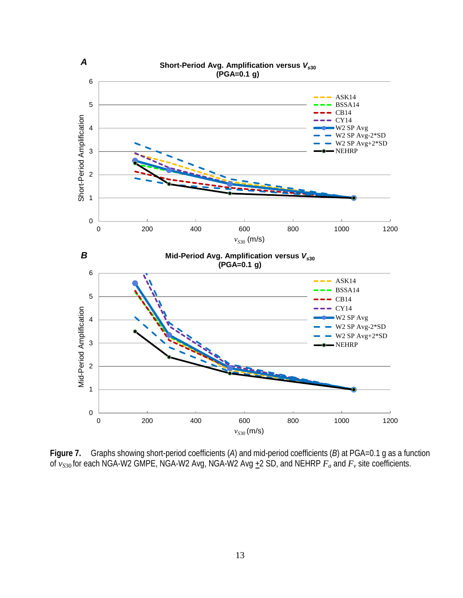

**Figure 7.** Graphs showing short-period coefficients (*A*) and mid-period coefficients (*B*) at PGA=0.1 g as a function of  $v_{S30}$  for each NGA-W2 GMPE, NGA-W2 Avg, NGA-W2 Avg  $\pm 2$  SD, and NEHRP  $F_a$  and  $F_v$  site coefficients.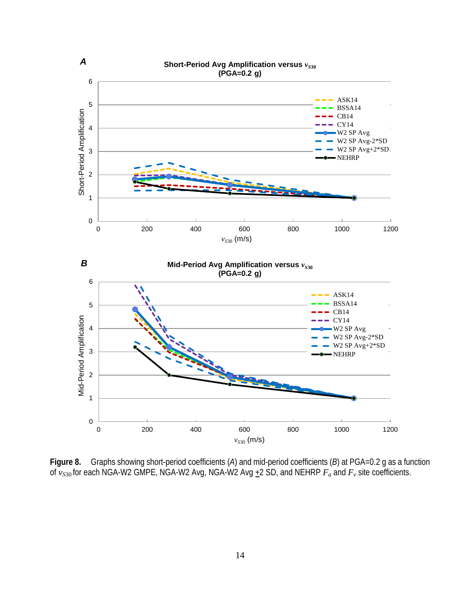

**Figure 8.** Graphs showing short-period coefficients (*A*) and mid-period coefficients (*B*) at PGA=0.2 g as a function of  $v_{S30}$  for each NGA-W2 GMPE, NGA-W2 Avg, NGA-W2 Avg +2 SD, and NEHRP  $F_a$  and  $F_v$  site coefficients.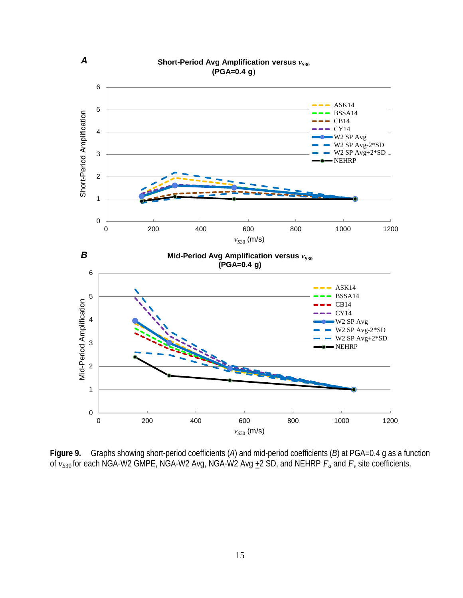

**Figure 9.** Graphs showing short-period coefficients (*A*) and mid-period coefficients (*B*) at PGA=0.4 g as a function of  $v_{S30}$  for each NGA-W2 GMPE, NGA-W2 Avg, NGA-W2 Avg  $\pm 2$  SD, and NEHRP  $F_a$  and  $F_v$  site coefficients.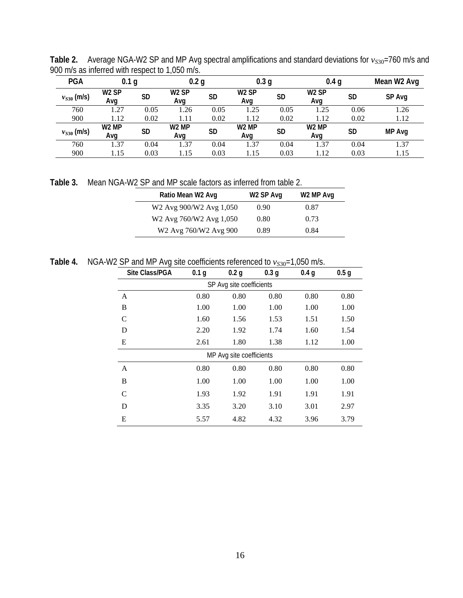Table 2. Average NGA-W2 SP and MP Avg spectral amplifications and standard deviations for  $v_{S30}$ =760 m/s and 900 m/s as inferred with respect to 1,050 m/s.

| <b>PGA</b>      | 0.1 <sub>g</sub>         |           | 0.2 <sub>g</sub>         |           | 0.3 <sub>g</sub>         |           | 0.4 <sub>g</sub>         |           | Mean W2 Avg |
|-----------------|--------------------------|-----------|--------------------------|-----------|--------------------------|-----------|--------------------------|-----------|-------------|
| $v_{S30}$ (m/s) | W <sub>2</sub> SP<br>Avg | <b>SD</b> | W <sub>2</sub> SP<br>Avg | <b>SD</b> | W <sub>2</sub> SP<br>Ava | <b>SD</b> | W <sub>2</sub> SP<br>Ava | SD        | SP Avg      |
| 760             | 1.27                     | 0.05      | 1.26                     | 0.05      | 1.25                     | 0.05      | 1.25                     | 0.06      | 1.26        |
| 900             | 1.12                     | 0.02      | 1.11                     | 0.02      | 1.12                     | 0.02      | 1.12                     | 0.02      | 1.12        |
| $v_{S30}$ (m/s) | W <sub>2</sub> MP<br>Avq | <b>SD</b> | W <sub>2</sub> MP<br>Avg | <b>SD</b> | W <sub>2</sub> MP<br>Ava | SD        | W <sub>2</sub> MP<br>Ava | <b>SD</b> | MP Avg      |
| 760             | 1.37                     | 0.04      | 1.37                     | 0.04      | 1.37                     | 0.04      | 1.37                     | 0.04      | 1.37        |
| 900             | 1.15                     | 0.03      | 1.15                     | 0.03      | 1.15                     | 0.03      | l.12                     | 0.03      | 1.15        |

**Table 3.** Mean NGA-W2 SP and MP scale factors as inferred from table 2.

| W <sub>2</sub> SP Avg | W <sub>2</sub> MP Avg |
|-----------------------|-----------------------|
| 0.90                  | 0.87                  |
| 0.80                  | 0.73                  |
| 0.89                  | 0.84                  |
|                       |                       |

Table 4. NGA-W2 SP and MP Avg site coefficients referenced to  $v_{S30}$ =1,050 m/s.

| Site Class/PGA           | 0.1 <sub>g</sub> | 0.2 <sub>q</sub>         | 0.3 <sub>q</sub> | 0.4 <sub>q</sub> | 0.5 <sub>q</sub> |  |  |  |
|--------------------------|------------------|--------------------------|------------------|------------------|------------------|--|--|--|
| SP Avg site coefficients |                  |                          |                  |                  |                  |  |  |  |
| A                        | 0.80             | 0.80                     | 0.80             | 0.80             | 0.80             |  |  |  |
| B                        | 1.00             | 1.00                     | 1.00             | 1.00             | 1.00             |  |  |  |
| C                        | 1.60             | 1.56                     | 1.53             | 1.51             | 1.50             |  |  |  |
| D                        | 2.20             | 1.92                     | 1.74             | 1.60             | 1.54             |  |  |  |
| E                        | 2.61             | 1.80                     | 1.38             | 1.12             | 1.00             |  |  |  |
|                          |                  | MP Avg site coefficients |                  |                  |                  |  |  |  |
| A                        | 0.80             | 0.80                     | 0.80             | 0.80             | 0.80             |  |  |  |
| B                        | 1.00             | 1.00                     | 1.00             | 1.00             | 1.00             |  |  |  |
| $\mathcal{C}$            | 1.93             | 1.92                     | 1.91             | 1.91             | 1.91             |  |  |  |
| D                        | 3.35             | 3.20                     | 3.10             | 3.01             | 2.97             |  |  |  |
| E                        | 5.57             | 4.82                     | 4.32             | 3.96             | 3.79             |  |  |  |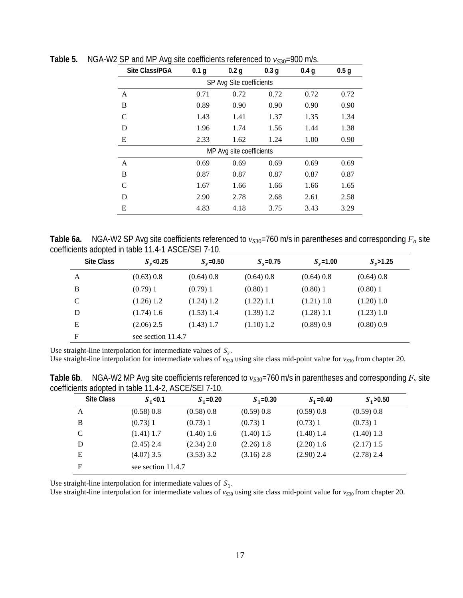| Site Class/PGA           | 0.1 <sub>g</sub> | 0.2 <sub>g</sub>         | 0.3 <sub>g</sub> | 0.4 <sub>q</sub> | 0.5 <sub>g</sub> |  |  |  |  |
|--------------------------|------------------|--------------------------|------------------|------------------|------------------|--|--|--|--|
| SP Avg Site coefficients |                  |                          |                  |                  |                  |  |  |  |  |
| A                        | 0.71             | 0.72                     | 0.72             | 0.72             | 0.72             |  |  |  |  |
| B                        | 0.89             | 0.90                     | 0.90             | 0.90             | 0.90             |  |  |  |  |
| C                        | 1.43             | 1.41                     | 1.37             | 1.35             | 1.34             |  |  |  |  |
| D                        | 1.96             | 1.74                     | 1.56             | 1.44             | 1.38             |  |  |  |  |
| E                        | 2.33             | 1.62                     | 1.24             | 1.00             | 0.90             |  |  |  |  |
|                          |                  | MP Avg site coefficients |                  |                  |                  |  |  |  |  |
| $\mathsf{A}$             | 0.69             | 0.69                     | 0.69             | 0.69             | 0.69             |  |  |  |  |
| B                        | 0.87             | 0.87                     | 0.87             | 0.87             | 0.87             |  |  |  |  |
| C                        | 1.67             | 1.66                     | 1.66             | 1.66             | 1.65             |  |  |  |  |
| D                        | 2.90             | 2.78                     | 2.68             | 2.61             | 2.58             |  |  |  |  |
| E                        | 4.83             | 4.18                     | 3.75             | 3.43             | 3.29             |  |  |  |  |

**Table 5.** NGA-W2 SP and MP Avg site coefficients referenced to  $v_{S30}$ =900 m/s.

**Table 6a.** NGA-W2 SP Avg site coefficients referenced to  $v_{S30}$ =760 m/s in parentheses and corresponding  $F_a$  site coefficients adopted in table 11.4-1 ASCE/SEI 7-10.

| <b>Site Class</b> | $S_s$ <0.25        | $S_s$ =0.50  | $S_{\rm s}$ =0.75 | $S_s = 1.00$ | $S_s > 1.25$ |
|-------------------|--------------------|--------------|-------------------|--------------|--------------|
| A                 | (0.63) 0.8         | $(0.64)$ 0.8 | (0.64) 0.8        | $(0.64)$ 0.8 | (0.64) 0.8   |
| B                 | (0.79)1            | (0.79)1      | $(0.80)$ 1        | $(0.80)$ 1   | $(0.80)$ 1   |
| C                 | (1.26) 1.2         | $(1.24)$ 1.2 | $(1.22)$ 1.1      | (1.21) 1.0   | (1.20) 1.0   |
| D                 | (1.74) 1.6         | $(1.53)$ 1.4 | (1.39) 1.2        | $(1.28)$ 1.1 | (1.23) 1.0   |
| E                 | $(2.06)$ 2.5       | $(1.43)$ 1.7 | (1.10) 1.2        | (0.89) 0.9   | (0.80) 0.9   |
| F                 | see section 11.4.7 |              |                   |              |              |

Use straight-line interpolation for intermediate values of  $S_s$ .

Use straight-line interpolation for intermediate values of  $v_{530}$  using site class mid-point value for  $v_{530}$  from chapter 20.

**Table 6b.** NGA-W2 MP Avg site coefficients referenced to  $v_{S30}$ =760 m/s in parentheses and corresponding  $F_v$  site coefficients adopted in table 11.4-2, ASCE/SEI 7-10.

| <b>Site Class</b> | $S_1$ <0.1         | $S_1 = 0.20$ | $S_1 = 0.30$ | $S_1 = 0.40$ | $S_1 > 0.50$ |
|-------------------|--------------------|--------------|--------------|--------------|--------------|
| A                 | (0.58) 0.8         | (0.58) 0.8   | (0.59) 0.8   | (0.59) 0.8   | (0.59) 0.8   |
| B                 | (0.73)1            | (0.73) 1     | $(0.73)$ 1   | $(0.73)$ 1   | $(0.73)$ 1   |
| C                 | $(1.41)$ 1.7       | (1.40) 1.6   | $(1.40)$ 1.5 | $(1.40)$ 1.4 | $(1.40)$ 1.3 |
| D                 | $(2.45)$ 2.4       | (2.34) 2.0   | $(2.26)$ 1.8 | (2.20) 1.6   | $(2.17)$ 1.5 |
| E                 | $(4.07)$ 3.5       | $(3.53)$ 3.2 | $(3.16)$ 2.8 | $(2.90)$ 2.4 | $(2.78)$ 2.4 |
| F                 | see section 11.4.7 |              |              |              |              |

Use straight-line interpolation for intermediate values of  $S_1$ .

Use straight-line interpolation for intermediate values of  $v_{S30}$  using site class mid-point value for  $v_{S30}$  from chapter 20.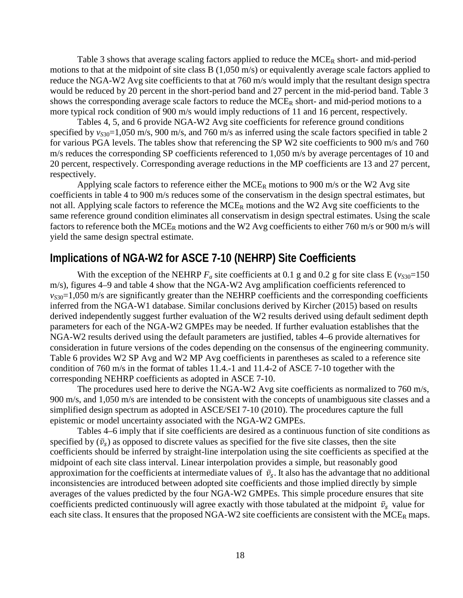Table 3 shows that average scaling factors applied to reduce the  $MCE_R$  short- and mid-period motions to that at the midpoint of site class B (1,050 m/s) or equivalently average scale factors applied to reduce the NGA-W2 Avg site coefficients to that at 760 m/s would imply that the resultant design spectra would be reduced by 20 percent in the short-period band and 27 percent in the mid-period band. Table 3 shows the corresponding average scale factors to reduce the MCE<sub>R</sub> short- and mid-period motions to a more typical rock condition of 900 m/s would imply reductions of 11 and 16 percent, respectively.

Tables 4, 5, and 6 provide NGA-W2 Avg site coefficients for reference ground conditions specified by  $v_{S30}$ =1,050 m/s, 900 m/s, and 760 m/s as inferred using the scale factors specified in table 2 for various PGA levels. The tables show that referencing the SP W2 site coefficients to 900 m/s and 760 m/s reduces the corresponding SP coefficients referenced to 1,050 m/s by average percentages of 10 and 20 percent, respectively. Corresponding average reductions in the MP coefficients are 13 and 27 percent, respectively.

Applying scale factors to reference either the  $MCE_R$  motions to 900 m/s or the W2 Avg site coefficients in table 4 to 900 m/s reduces some of the conservatism in the design spectral estimates, but not all. Applying scale factors to reference the  $MCE_R$  motions and the W2 Avg site coefficients to the same reference ground condition eliminates all conservatism in design spectral estimates. Using the scale factors to reference both the MCE<sub>R</sub> motions and the W2 Avg coefficients to either 760 m/s or 900 m/s will yield the same design spectral estimate.

#### **Implications of NGA-W2 for ASCE 7-10 (NEHRP) Site Coefficients**

With the exception of the NEHRP  $F_a$  site coefficients at 0.1 g and 0.2 g for site class E ( $v_{S30}$ =150 m/s), figures 4–9 and table 4 show that the NGA-W2 Avg amplification coefficients referenced to  $v_{S30}=1,050$  m/s are significantly greater than the NEHRP coefficients and the corresponding coefficients inferred from the NGA-W1 database. Similar conclusions derived by Kircher (2015) based on results derived independently suggest further evaluation of the W2 results derived using default sediment depth parameters for each of the NGA-W2 GMPEs may be needed. If further evaluation establishes that the NGA-W2 results derived using the default parameters are justified, tables 4–6 provide alternatives for consideration in future versions of the codes depending on the consensus of the engineering community. Table 6 provides W2 SP Avg and W2 MP Avg coefficients in parentheses as scaled to a reference site condition of 760 m/s in the format of tables 11.4.-1 and 11.4-2 of ASCE 7-10 together with the corresponding NEHRP coefficients as adopted in ASCE 7-10.

The procedures used here to derive the NGA-W2 Avg site coefficients as normalized to 760 m/s, 900 m/s, and 1,050 m/s are intended to be consistent with the concepts of unambiguous site classes and a simplified design spectrum as adopted in ASCE/SEI 7-10 (2010). The procedures capture the full epistemic or model uncertainty associated with the NGA-W2 GMPEs.

Tables 4–6 imply that if site coefficients are desired as a continuous function of site conditions as specified by  $(\bar{v}_s)$  as opposed to discrete values as specified for the five site classes, then the site coefficients should be inferred by straight-line interpolation using the site coefficients as specified at the midpoint of each site class interval. Linear interpolation provides a simple, but reasonably good approximation for the coefficients at intermediate values of  $\bar{v}_s$ . It also has the advantage that no additional inconsistencies are introduced between adopted site coefficients and those implied directly by simple averages of the values predicted by the four NGA-W2 GMPEs. This simple procedure ensures that site coefficients predicted continuously will agree exactly with those tabulated at the midpoint  $\bar{v}_s$  value for each site class. It ensures that the proposed NGA-W2 site coefficients are consistent with the MCE<sub>R</sub> maps.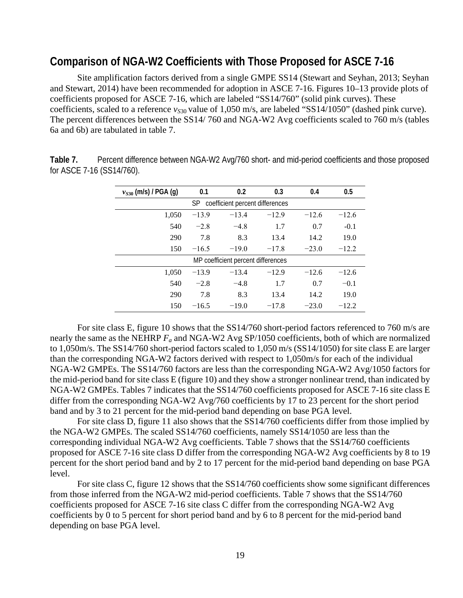#### **Comparison of NGA-W2 Coefficients with Those Proposed for ASCE 7-16**

Site amplification factors derived from a single GMPE SS14 (Stewart and Seyhan, 2013; Seyhan and Stewart, 2014) have been recommended for adoption in ASCE 7-16. Figures 10–13 provide plots of coefficients proposed for ASCE 7-16, which are labeled "SS14/760" (solid pink curves). These coefficients, scaled to a reference *v<sub>S30</sub>* value of 1,050 m/s, are labeled "SS14/1050" (dashed pink curve). The percent differences between the SS14/ 760 and NGA-W2 Avg coefficients scaled to 760 m/s (tables 6a and 6b) are tabulated in table 7.

| $v_{S30}$ (m/s) / PGA (g)                    | 0.1     | 0.2                                | 0.3     | 0.4     | 0.5     |  |  |  |
|----------------------------------------------|---------|------------------------------------|---------|---------|---------|--|--|--|
| <b>SP</b><br>coefficient percent differences |         |                                    |         |         |         |  |  |  |
| 1,050                                        | $-13.9$ | $-13.4$                            | $-12.9$ | $-12.6$ | $-12.6$ |  |  |  |
| 540                                          | $-2.8$  | $-4.8$                             | 1.7     | 0.7     | $-0.1$  |  |  |  |
| 290                                          | 7.8     | 8.3                                | 13.4    | 14.2    | 19.0    |  |  |  |
| 150                                          | $-16.5$ | $-19.0$                            | $-17.8$ | $-23.0$ | $-12.2$ |  |  |  |
|                                              |         | MP coefficient percent differences |         |         |         |  |  |  |
| 1,050                                        | $-13.9$ | $-13.4$                            | $-12.9$ | $-12.6$ | $-12.6$ |  |  |  |
| 540                                          | $-2.8$  | $-4.8$                             | 1.7     | 0.7     | $-0.1$  |  |  |  |
| 290                                          | 7.8     | 8.3                                | 13.4    | 14.2    | 19.0    |  |  |  |
| 150                                          | $-16.5$ | $-19.0$                            | $-17.8$ | $-23.0$ | $-12.2$ |  |  |  |

**Table 7.** Percent difference between NGA-W2 Avg/760 short- and mid-period coefficients and those proposed for ASCE 7-16 (SS14/760).

For site class E, figure 10 shows that the SS14/760 short-period factors referenced to 760 m/s are nearly the same as the NEHRP *Fa* and NGA-W2 Avg SP/1050 coefficients, both of which are normalized to 1,050m/s. The SS14/760 short-period factors scaled to 1,050 m/s (SS14/1050) for site class E are larger than the corresponding NGA-W2 factors derived with respect to 1,050m/s for each of the individual NGA-W2 GMPEs. The SS14/760 factors are less than the corresponding NGA-W2 Avg/1050 factors for the mid-period band for site class E (figure 10) and they show a stronger nonlinear trend, than indicated by NGA-W2 GMPEs. Tables 7 indicates that the SS14/760 coefficients proposed for ASCE 7-16 site class E differ from the corresponding NGA-W2 Avg/760 coefficients by 17 to 23 percent for the short period band and by 3 to 21 percent for the mid-period band depending on base PGA level.

For site class D, figure 11 also shows that the SS14/760 coefficients differ from those implied by the NGA-W2 GMPEs. The scaled SS14/760 coefficients, namely SS14/1050 are less than the corresponding individual NGA-W2 Avg coefficients. Table 7 shows that the SS14/760 coefficients proposed for ASCE 7-16 site class D differ from the corresponding NGA-W2 Avg coefficients by 8 to 19 percent for the short period band and by 2 to 17 percent for the mid-period band depending on base PGA level.

For site class C, figure 12 shows that the SS14/760 coefficients show some significant differences from those inferred from the NGA-W2 mid-period coefficients. Table 7 shows that the SS14/760 coefficients proposed for ASCE 7-16 site class C differ from the corresponding NGA-W2 Avg coefficients by 0 to 5 percent for short period band and by 6 to 8 percent for the mid-period band depending on base PGA level.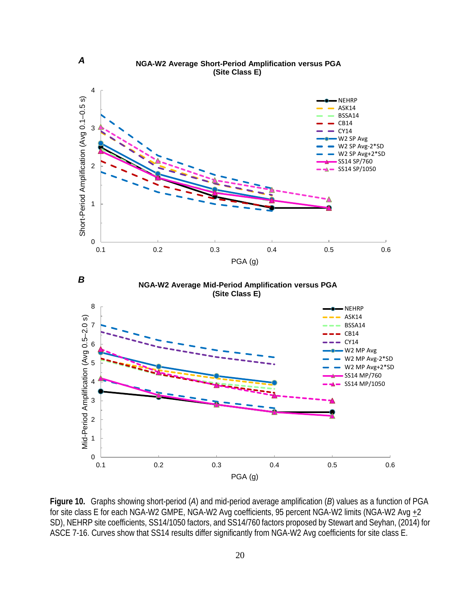

**Figure 10.** Graphs showing short-period (*A*) and mid-period average amplification (*B*) values as a function of PGA for site class E for each NGA-W2 GMPE, NGA-W2 Avg coefficients, 95 percent NGA-W2 limits (NGA-W2 Avg  $+2$ SD), NEHRP site coefficients, SS14/1050 factors, and SS14/760 factors proposed by Stewart and Seyhan, (2014) for ASCE 7-16. Curves show that SS14 results differ significantly from NGA-W2 Avg coefficients for site class E.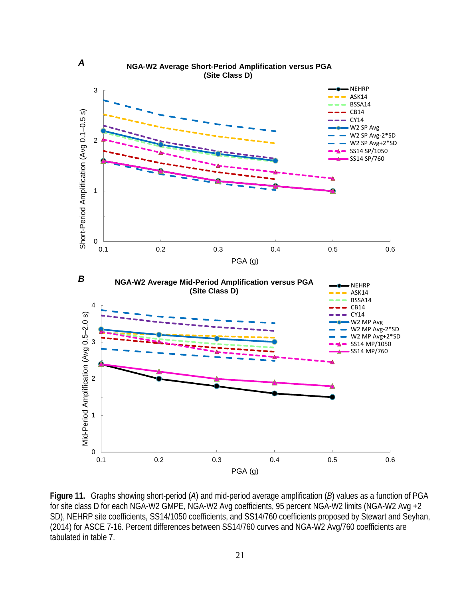

**Figure 11.** Graphs showing short-period (*A*) and mid-period average amplification (*B*) values as a function of PGA for site class D for each NGA-W2 GMPE, NGA-W2 Avg coefficients, 95 percent NGA-W2 limits (NGA-W2 Avg +2 SD), NEHRP site coefficients, SS14/1050 coefficients, and SS14/760 coefficients proposed by Stewart and Seyhan, (2014) for ASCE 7-16. Percent differences between SS14/760 curves and NGA-W2 Avg/760 coefficients are tabulated in table 7.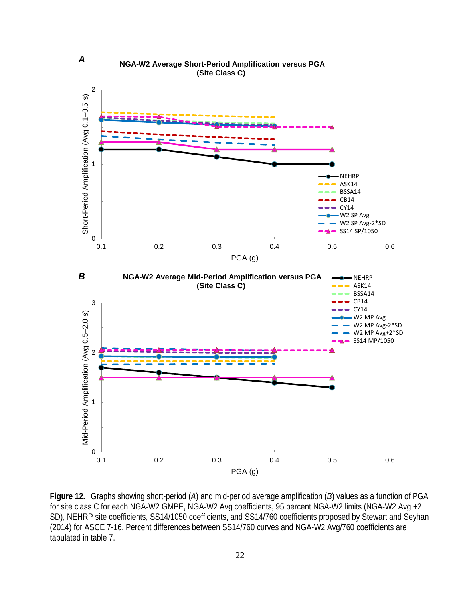

**Figure 12.** Graphs showing short-period (*A*) and mid-period average amplification (*B*) values as a function of PGA for site class C for each NGA-W2 GMPE, NGA-W2 Avg coefficients, 95 percent NGA-W2 limits (NGA-W2 Avg +2 SD), NEHRP site coefficients, SS14/1050 coefficients, and SS14/760 coefficients proposed by Stewart and Seyhan (2014) for ASCE 7-16. Percent differences between SS14/760 curves and NGA-W2 Avg/760 coefficients are tabulated in table 7.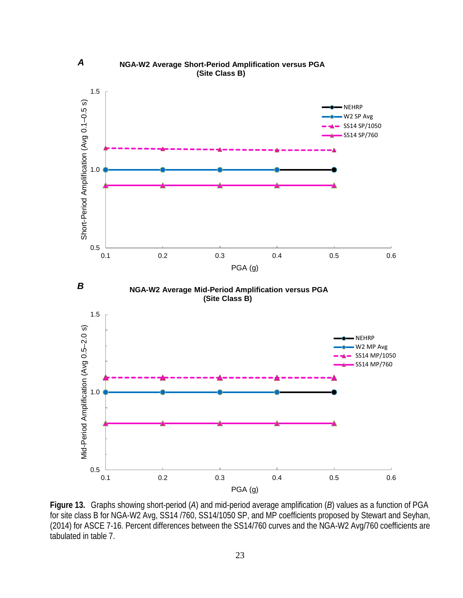

**Figure 13.** Graphs showing short-period (*A*) and mid-period average amplification (*B*) values as a function of PGA for site class B for NGA-W2 Avg, SS14 /760, SS14/1050 SP, and MP coefficients proposed by Stewart and Seyhan, (2014) for ASCE 7-16. Percent differences between the SS14/760 curves and the NGA-W2 Avg/760 coefficients are tabulated in table 7.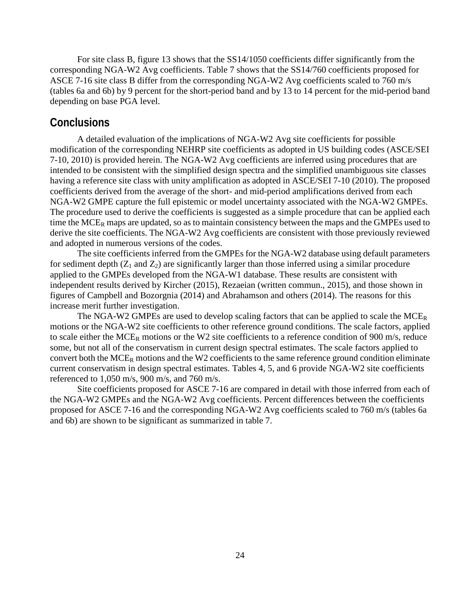For site class B, figure 13 shows that the SS14/1050 coefficients differ significantly from the corresponding NGA-W2 Avg coefficients. Table 7 shows that the SS14/760 coefficients proposed for ASCE 7-16 site class B differ from the corresponding NGA-W2 Avg coefficients scaled to 760 m/s (tables 6a and 6b) by 9 percent for the short-period band and by 13 to 14 percent for the mid-period band depending on base PGA level.

#### **Conclusions**

A detailed evaluation of the implications of NGA-W2 Avg site coefficients for possible modification of the corresponding NEHRP site coefficients as adopted in US building codes (ASCE/SEI 7-10, 2010) is provided herein. The NGA-W2 Avg coefficients are inferred using procedures that are intended to be consistent with the simplified design spectra and the simplified unambiguous site classes having a reference site class with unity amplification as adopted in ASCE/SEI 7-10 (2010). The proposed coefficients derived from the average of the short- and mid-period amplifications derived from each NGA-W2 GMPE capture the full epistemic or model uncertainty associated with the NGA-W2 GMPEs. The procedure used to derive the coefficients is suggested as a simple procedure that can be applied each time the  $MCE_R$  maps are updated, so as to maintain consistency between the maps and the GMPEs used to derive the site coefficients. The NGA-W2 Avg coefficients are consistent with those previously reviewed and adopted in numerous versions of the codes.

The site coefficients inferred from the GMPEs for the NGA-W2 database using default parameters for sediment depth  $(Z_1 \text{ and } Z_2)$  are significantly larger than those inferred using a similar procedure applied to the GMPEs developed from the NGA-W1 database. These results are consistent with independent results derived by Kircher (2015), Rezaeian (written commun., 2015), and those shown in figures of Campbell and Bozorgnia (2014) and Abrahamson and others (2014). The reasons for this increase merit further investigation.

The NGA-W2 GMPEs are used to develop scaling factors that can be applied to scale the  $MCE_R$ motions or the NGA-W2 site coefficients to other reference ground conditions. The scale factors, applied to scale either the MCE<sub>R</sub> motions or the W2 site coefficients to a reference condition of 900 m/s, reduce some, but not all of the conservatism in current design spectral estimates. The scale factors applied to convert both the  $MCE_R$  motions and the W2 coefficients to the same reference ground condition eliminate current conservatism in design spectral estimates. Tables 4, 5, and 6 provide NGA-W2 site coefficients referenced to 1,050 m/s, 900 m/s, and 760 m/s.

Site coefficients proposed for ASCE 7-16 are compared in detail with those inferred from each of the NGA-W2 GMPEs and the NGA-W2 Avg coefficients. Percent differences between the coefficients proposed for ASCE 7-16 and the corresponding NGA-W2 Avg coefficients scaled to 760 m/s (tables 6a and 6b) are shown to be significant as summarized in table 7.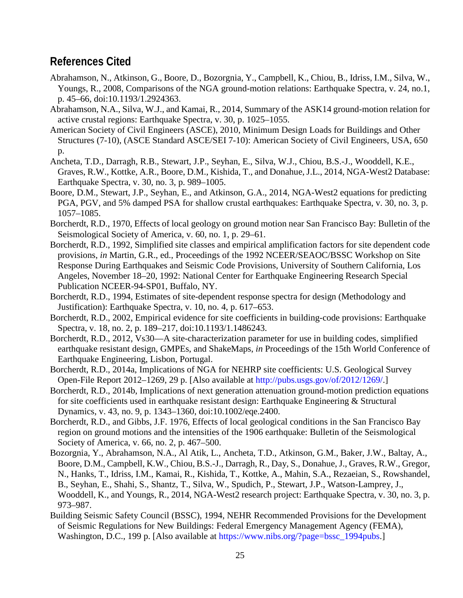### **References Cited**

- Abrahamson, N., Atkinson, G., Boore, D., Bozorgnia, Y., Campbell, K., Chiou, B., Idriss, I.M., Silva, W., Youngs, R., 2008, Comparisons of the NGA ground-motion relations: Earthquake Spectra, v. 24, no.1, p. 45–66, doi[:10.1193/1.2924363.](http://dx.doi.org/10.1193/1.2924363)
- Abrahamson, N.A., Silva, W.J., and Kamai, R., 2014, Summary of the ASK14 ground-motion relation for active crustal regions: Earthquake Spectra, v. 30, p. 1025–1055.
- American Society of Civil Engineers (ASCE), 2010, Minimum Design Loads for Buildings and Other Structures (7-10), (ASCE Standard ASCE/SEI 7-10): American Society of Civil Engineers, USA, 650 p.
- Ancheta, T.D., Darragh, R.B., Stewart, J.P., Seyhan, E., Silva, W.J., Chiou, B.S.-J., Wooddell, K.E., Graves, R.W., Kottke, A.R., Boore, D.M., Kishida, T., and Donahue, J.L., 2014, NGA-West2 Database: Earthquake Spectra, v. 30, no. 3, p. 989–1005.
- Boore, D.M., Stewart, J.P., Seyhan, E., and Atkinson, G.A., 2014, NGA-West2 equations for predicting PGA, PGV, and 5% damped PSA for shallow crustal earthquakes: Earthquake Spectra, v. 30, no. 3, p. 1057–1085.
- Borcherdt, R.D., 1970, Effects of local geology on ground motion near San Francisco Bay: Bulletin of the Seismological Society of America, v. 60, no. 1, p. 29–61.
- Borcherdt, R.D., 1992, Simplified site classes and empirical amplification factors for site dependent code provisions, *in* Martin, G.R., ed., Proceedings of the 1992 NCEER/SEAOC/BSSC Workshop on Site Response During Earthquakes and Seismic Code Provisions, University of Southern California, Los Angeles, November 18–20, 1992: National Center for Earthquake Engineering Research Special Publication NCEER-94-SP01, Buffalo, NY.
- Borcherdt, R.D., 1994, Estimates of site-dependent response spectra for design (Methodology and Justification): Earthquake Spectra, v. 10, no. 4, p. 617–653.
- Borcherdt, R.D., 2002, Empirical evidence for site coefficients in building-code provisions: Earthquake Spectra, v. 18, no. 2, p. 189–217, doi:10.1193/1.1486243.
- Borcherdt, R.D., 2012, Vs30—A site-characterization parameter for use in building codes, simplified earthquake resistant design, GMPEs, and ShakeMaps, *in* Proceedings of the 15th World Conference of Earthquake Engineering, Lisbon, Portugal.
- Borcherdt, R.D., 2014a, Implications of NGA for NEHRP site coefficients: U.S. Geological Survey Open-File Report 2012–1269, 29 p. [Also available at [http://pubs.usgs.gov/of/2012/1269/.](http://pubs.usgs.gov/of/2012/1269/)]
- Borcherdt, R.D., 2014b, Implications of next generation attenuation ground-motion prediction equations for site coefficients used in earthquake resistant design: Earthquake Engineering & Structural Dynamics, v. 43, no. 9, p. 1343–1360, doi:10.1002/eqe.2400.
- Borcherdt, R.D., and Gibbs, J.F. 1976, Effects of local geological conditions in the San Francisco Bay region on ground motions and the intensities of the 1906 earthquake: Bulletin of the Seismological Society of America, v. 66, no. 2, p. 467–500.
- Bozorgnia, Y., Abrahamson, N.A., Al Atik, L., Ancheta, T.D., Atkinson, G.M., Baker, J.W., Baltay, A., Boore, D.M., Campbell, K.W., Chiou, B.S.-J., Darragh, R., Day, S., Donahue, J., Graves, R.W., Gregor, N., Hanks, T., Idriss, I.M., Kamai, R., Kishida, T., Kottke, A., Mahin, S.A., Rezaeian, S., Rowshandel, B., Seyhan, E., Shahi, S., Shantz, T., Silva, W., Spudich, P., Stewart, J.P., Watson-Lamprey, J., Wooddell, K., and Youngs, R., 2014, NGA-West2 research project: Earthquake Spectra, v. 30, no. 3, p. 973–987.
- Building Seismic Safety Council (BSSC), 1994, NEHR Recommended Provisions for the Development of Seismic Regulations for New Buildings: Federal Emergency Management Agency (FEMA), Washington, D.C., 199 p. [Also available at [https://www.nibs.org/?page=bssc\\_1994pubs.](https://www.nibs.org/?page=bssc_1994pubs)]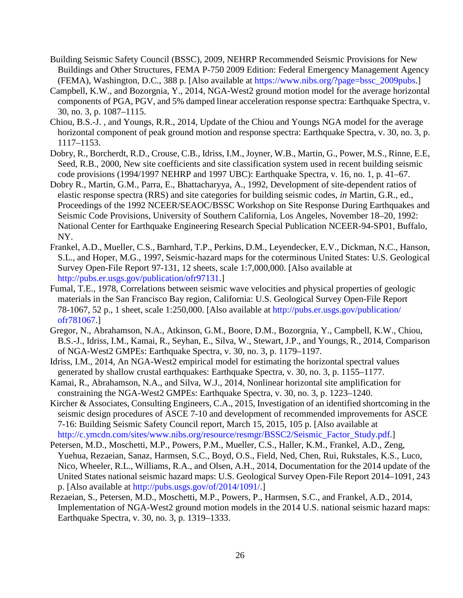- Building Seismic Safety Council (BSSC), 2009, NEHRP Recommended Seismic Provisions for New Buildings and Other Structures, FEMA P-750 2009 Edition: Federal Emergency Management Agency (FEMA), Washington, D.C., 388 p. [Also available at [https://www.nibs.org/?page=bssc\\_2009pubs.](https://www.nibs.org/?page=bssc_2009pubs)]
- Campbell, K.W., and Bozorgnia, Y., 2014, NGA-West2 ground motion model for the average horizontal components of PGA, PGV, and 5% damped linear acceleration response spectra: Earthquake Spectra, v. 30, no. 3, p. 1087–1115.
- Chiou, B.S.-J. , and Youngs, R.R., 2014, Update of the Chiou and Youngs NGA model for the average horizontal component of peak ground motion and response spectra: Earthquake Spectra, v. 30, no. 3, p. 1117–1153.
- Dobry, R., Borcherdt, R.D., Crouse, C.B., Idriss, I.M., Joyner, W.B., Martin, G., Power, M.S., Rinne, E.E, Seed, R.B., 2000, New site coefficients and site classification system used in recent building seismic code provisions (1994/1997 NEHRP and 1997 UBC): Earthquake Spectra, v. 16, no. 1, p. 41–67.
- Dobry R., Martin, G.M., Parra, E., Bhattacharyya, A., 1992, Development of site-dependent ratios of elastic response spectra (RRS) and site categories for building seismic codes, *in* Martin, G.R., ed., Proceedings of the 1992 NCEER/SEAOC/BSSC Workshop on Site Response During Earthquakes and Seismic Code Provisions, University of Southern California, Los Angeles, November 18–20, 1992: National Center for Earthquake Engineering Research Special Publication NCEER-94-SP01, Buffalo, NY.
- Frankel, A.D., Mueller, C.S., Barnhard, T.P., Perkins, D.M., Leyendecker, E.V., Dickman, N.C., Hanson, S.L., and Hoper, M.G., 1997, Seismic-hazard maps for the coterminous United States: U.S. Geological Survey Open-File Report 97-131, 12 sheets, scale 1:7,000,000. [Also available at [http://pubs.er.usgs.gov/publication/ofr97131.](http://pubs.er.usgs.gov/publication/ofr97131)]
- Fumal, T.E., 1978, Correlations between seismic wave velocities and physical properties of geologic materials in the San Francisco Bay region, California: U.S. Geological Survey Open-File Report 78-1067, 52 p., 1 sheet, scale 1:250,000. [Also available at [http://pubs.er.usgs.gov/publication/](http://pubs.er.usgs.gov/publication/ofr781067) [ofr781067.](http://pubs.er.usgs.gov/publication/ofr781067)]
- Gregor, N., Abrahamson, N.A., Atkinson, G.M., Boore, D.M., Bozorgnia, Y., Campbell, K.W., Chiou, B.S.-J., Idriss, I.M., Kamai, R., Seyhan, E., Silva, W., Stewart, J.P., and Youngs, R., 2014, Comparison of NGA-West2 GMPEs: Earthquake Spectra, v. 30, no. 3, p. 1179–1197.
- Idriss, I.M., 2014, An NGA-West2 empirical model for estimating the horizontal spectral values generated by shallow crustal earthquakes: Earthquake Spectra, v. 30, no. 3, p. 1155–1177.
- Kamai, R., Abrahamson, N.A., and Silva, W.J., 2014, Nonlinear horizontal site amplification for constraining the NGA-West2 GMPEs: Earthquake Spectra, v. 30, no. 3, p. 1223–1240.
- Kircher & Associates, Consulting Engineers, C.A., 2015, Investigation of an identified shortcoming in the seismic design procedures of ASCE 7-10 and development of recommended improvements for ASCE 7-16: Building Seismic Safety Council report, March 15, 2015, 105 p. [Also available at [http://c.ymcdn.com/sites/www.nibs.org/resource/resmgr/BSSC2/Seismic\\_Factor\\_Study.pdf.](http://c.ymcdn.com/sites/www.nibs.org/resource/resmgr/BSSC2/Seismic_Factor_Study.pdf)]
- Petersen, M.D., Moschetti, M.P., Powers, P.M., Mueller, C.S., Haller, K.M., Frankel, A.D., Zeng, Yuehua, Rezaeian, Sanaz, Harmsen, S.C., Boyd, O.S., Field, Ned, Chen, Rui, Rukstales, K.S., Luco, Nico, Wheeler, R.L., Williams, R.A., and Olsen, A.H., 2014, Documentation for the 2014 update of the United States national seismic hazard maps: U.S. Geological Survey Open-File Report 2014–1091, 243 p. [Also available at [http://pubs.usgs.gov/of/2014/1091/.](http://pubs.usgs.gov/of/2014/1091/)]
- Rezaeian, S., Petersen, M.D., Moschetti, M.P., Powers, P., Harmsen, S.C., and Frankel, A.D., 2014, Implementation of NGA-West2 ground motion models in the 2014 U.S. national seismic hazard maps: Earthquake Spectra, v. 30, no. 3, p. 1319–1333.